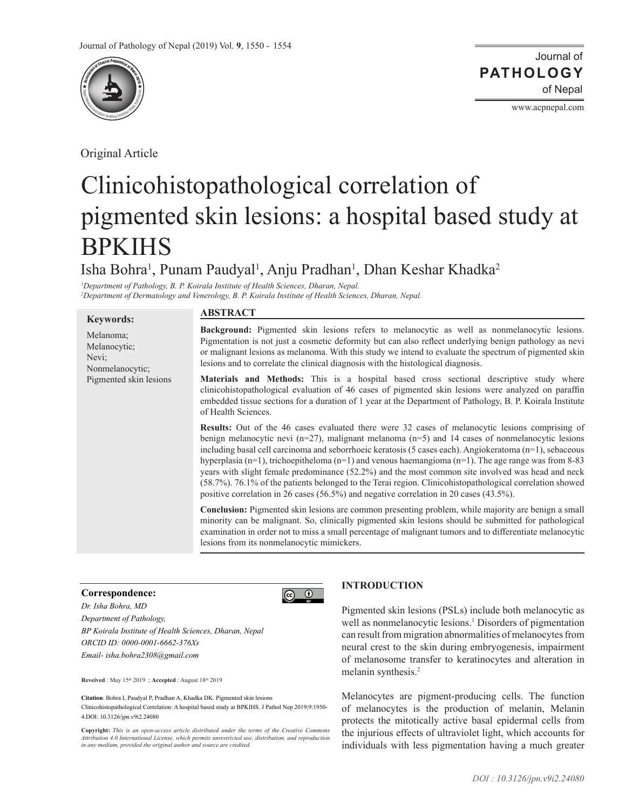

Original Article

Journal of of Nepal **PATHOLOGY**

www.acpnepal.com

# Clinicohistopathological correlation of pigmented skin lesions: a hospital based study at **BPKIHS**

Isha Bohra<sup>1</sup>, Punam Paudyal<sup>1</sup>, Anju Pradhan<sup>1</sup>, Dhan Keshar Khadka<sup>2</sup>

 $\boxed{6}$ 

*1 Department of Pathology, B. P. Koirala Institute of Health Sciences, Dharan, Nepal. 2 Department of Dermatology and Venerology, B. P. Koirala Institute of Health Sciences, Dharan, Nepal.*

## **Keywords:**

Melanoma; Melanocytic; Nevi; Nonmelanocytic; Pigmented skin lesions

# **ABSTRACT**

**Background:** Pigmented skin lesions refers to melanocytic as well as nonmelanocytic lesions. Pigmentation is not just a cosmetic deformity but can also reflect underlying benign pathology as nevi or malignant lesions as melanoma. With this study we intend to evaluate the spectrum of pigmented skin lesions and to correlate the clinical diagnosis with the histological diagnosis.

**Materials and Methods:** This is a hospital based cross sectional descriptive study where clinicohistopathological evaluation of 46 cases of pigmented skin lesions were analyzed on paraffin embedded tissue sections for a duration of 1 year at the Department of Pathology, B. P. Koirala Institute of Health Sciences.

**Results:** Out of the 46 cases evaluated there were 32 cases of melanocytic lesions comprising of benign melanocytic nevi (n=27), malignant melanoma (n=5) and 14 cases of nonmelanocytic lesions including basal cell carcinoma and seborrhoeic keratosis (5 cases each). Angiokeratoma (n=1), sebaceous hyperplasia (n=1), trichoepitheloma (n=1) and venous haemangioma (n=1). The age range was from 8-83 years with slight female predominance (52.2%) and the most common site involved was head and neck (58.7%). 76.1% of the patients belonged to the Terai region. Clinicohistopathological correlation showed positive correlation in 26 cases (56.5%) and negative correlation in 20 cases (43.5%).

**Conclusion:** Pigmented skin lesions are common presenting problem, while majority are benign a small minority can be malignant. So, clinically pigmented skin lesions should be submitted for pathological examination in order not to miss a small percentage of malignant tumors and to differentiate melanocytic lesions from its nonmelanocytic mimickers.

#### **Correspondence:**

*Dr. Isha Bohra, MD Department of Pathology, BP Koirala Institute of Health Sciences, Dharan, Nepal ORCID ID: 0000-0001-6662-376Xs Email- isha.bohra2308@gmail.com*

**Reveived** : May 15th 2019 ; **Accepted** : August 18th 2019

**Citation**: Bohra I, Paudyal P, Pradhan A, Khadka DK. Pigmented skin lesions Clinicohistopathological Correlation: A hospital based study at BPKIHS. J Pathol Nep 2019;9:1950- 4.DOI: 10.3126/jpn.v9i2.24080

**Copyright:** *This is an open-access article distributed under the terms of the Creative Commons Attribution 4.0 International License, which permits unrestricted use, distribution, and reproduction in any medium, provided the original author and source are credited.*



Pigmented skin lesions (PSLs) include both melanocytic as well as nonmelanocytic lesions.<sup>1</sup> Disorders of pigmentation can result from migration abnormalities of melanocytes from neural crest to the skin during embryogenesis, impairment of melanosome transfer to keratinocytes and alteration in melanin synthesis.<sup>2</sup>

Melanocytes are pigment-producing cells. The function of melanocytes is the production of melanin, Melanin protects the mitotically active basal epidermal cells from the injurious effects of ultraviolet light, which accounts for individuals with less pigmentation having a much greater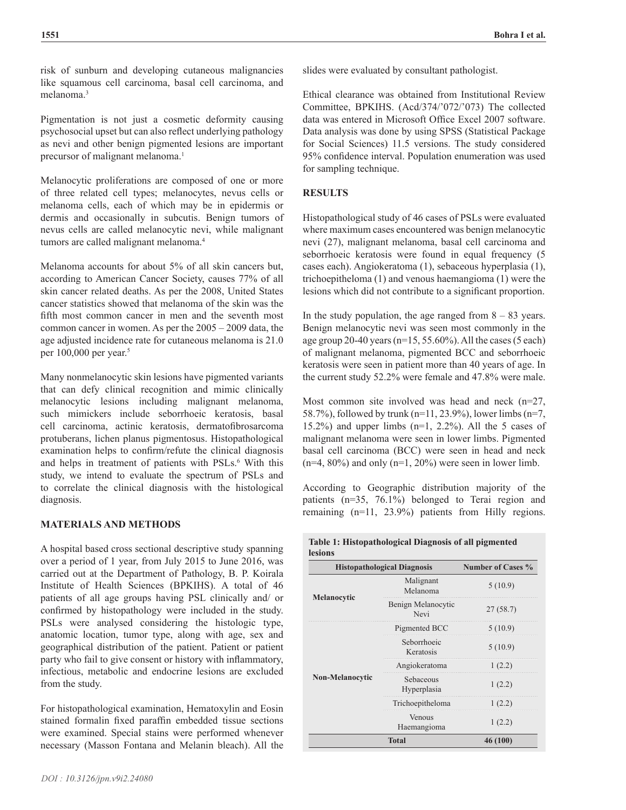risk of sunburn and developing cutaneous malignancies like squamous cell carcinoma, basal cell carcinoma, and melanoma.3

Pigmentation is not just a cosmetic deformity causing psychosocial upset but can also reflect underlying pathology as nevi and other benign pigmented lesions are important precursor of malignant melanoma.<sup>1</sup>

Melanocytic proliferations are composed of one or more of three related cell types; melanocytes, nevus cells or melanoma cells, each of which may be in epidermis or dermis and occasionally in subcutis. Benign tumors of nevus cells are called melanocytic nevi, while malignant tumors are called malignant melanoma.<sup>4</sup>

Melanoma accounts for about 5% of all skin cancers but, according to American Cancer Society, causes 77% of all skin cancer related deaths. As per the 2008, United States cancer statistics showed that melanoma of the skin was the fifth most common cancer in men and the seventh most common cancer in women. As per the 2005 – 2009 data, the age adjusted incidence rate for cutaneous melanoma is 21.0 per 100,000 per year.<sup>5</sup>

Many nonmelanocytic skin lesions have pigmented variants that can defy clinical recognition and mimic clinically melanocytic lesions including malignant melanoma, such mimickers include seborrhoeic keratosis, basal cell carcinoma, actinic keratosis, dermatofibrosarcoma protuberans, lichen planus pigmentosus. Histopathological examination helps to confirm/refute the clinical diagnosis and helps in treatment of patients with PSLs.<sup>6</sup> With this study, we intend to evaluate the spectrum of PSLs and to correlate the clinical diagnosis with the histological diagnosis.

## **MATERIALS AND METHODS**

A hospital based cross sectional descriptive study spanning over a period of 1 year, from July 2015 to June 2016, was carried out at the Department of Pathology, B. P. Koirala Institute of Health Sciences (BPKIHS). A total of 46 patients of all age groups having PSL clinically and/ or confirmed by histopathology were included in the study. PSLs were analysed considering the histologic type, anatomic location, tumor type, along with age, sex and geographical distribution of the patient. Patient or patient party who fail to give consent or history with inflammatory, infectious, metabolic and endocrine lesions are excluded from the study.

For histopathological examination, Hematoxylin and Eosin stained formalin fixed paraffin embedded tissue sections were examined. Special stains were performed whenever necessary (Masson Fontana and Melanin bleach). All the Ethical clearance was obtained from Institutional Review Committee, BPKIHS. (Acd/374/'072/'073) The collected data was entered in Microsoft Office Excel 2007 software. Data analysis was done by using SPSS (Statistical Package for Social Sciences) 11.5 versions. The study considered 95% confidence interval. Population enumeration was used for sampling technique.

## **RESULTS**

Histopathological study of 46 cases of PSLs were evaluated where maximum cases encountered was benign melanocytic nevi (27), malignant melanoma, basal cell carcinoma and seborrhoeic keratosis were found in equal frequency (5 cases each). Angiokeratoma (1), sebaceous hyperplasia (1), trichoepitheloma (1) and venous haemangioma (1) were the lesions which did not contribute to a significant proportion.

In the study population, the age ranged from  $8 - 83$  years. Benign melanocytic nevi was seen most commonly in the age group 20-40 years (n=15, 55.60%). All the cases (5 each) of malignant melanoma, pigmented BCC and seborrhoeic keratosis were seen in patient more than 40 years of age. In the current study 52.2% were female and 47.8% were male.

Most common site involved was head and neck (n=27, 58.7%), followed by trunk (n=11, 23.9%), lower limbs (n=7, 15.2%) and upper limbs  $(n=1, 2.2)$ %. All the 5 cases of malignant melanoma were seen in lower limbs. Pigmented basal cell carcinoma (BCC) were seen in head and neck  $(n=4, 80\%)$  and only  $(n=1, 20\%)$  were seen in lower limb.

According to Geographic distribution majority of the patients (n=35, 76.1%) belonged to Terai region and remaining (n=11, 23.9%) patients from Hilly regions.

| <b>Histopathological Diagnosis</b> | <b>Number of Cases %</b>   |          |  |
|------------------------------------|----------------------------|----------|--|
| Melanocytic                        | Malignant<br>Melanoma      | 5(10.9)  |  |
|                                    | Benign Melanocytic<br>Nevi | 27(58.7) |  |
| Non-Melanocytic                    | Pigmented BCC              | 5(10.9)  |  |
|                                    | Seborrhoeic<br>Keratosis   | 5(10.9)  |  |
|                                    | Angiokeratoma              | (2.2)    |  |
|                                    | Sebaceous<br>Hyperplasia   | 1(2.2)   |  |
|                                    | Trichoepitheloma           | (2.2)    |  |
|                                    | Venous<br>Haemangioma      | 1(2.2)   |  |
|                                    | 46 (100)                   |          |  |

**Table 1: Histopathological Diagnosis of all pigmented**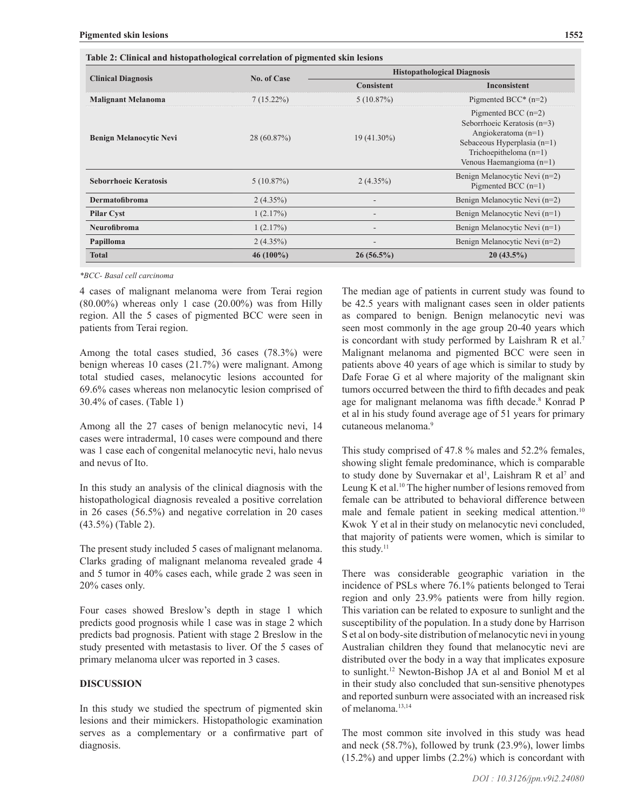|                                | <b>No. of Case</b> | <b>Histopathological Diagnosis</b> |                                                                                                                                                                      |  |
|--------------------------------|--------------------|------------------------------------|----------------------------------------------------------------------------------------------------------------------------------------------------------------------|--|
| <b>Clinical Diagnosis</b>      |                    | <b>Consistent</b>                  | Inconsistent                                                                                                                                                         |  |
| <b>Malignant Melanoma</b>      | $7(15.22\%)$       | $5(10.87\%)$                       | Pigmented BCC* $(n=2)$                                                                                                                                               |  |
| <b>Benign Melanocytic Nevi</b> | 28(60.87%)         | $19(41.30\%)$                      | Pigmented BCC $(n=2)$<br>Seborrhoeic Keratosis (n=3)<br>Angiokeratoma $(n=1)$<br>Sebaceous Hyperplasia (n=1)<br>Trichoepitheloma $(n=1)$<br>Venous Haemangioma (n=1) |  |
| <b>Seborrhoeic Keratosis</b>   | 5(10.87%)          | $2(4.35\%)$                        | Benign Melanocytic Nevi (n=2)<br>Pigmented BCC $(n=1)$                                                                                                               |  |
| <b>Dermatofibroma</b>          | 2(4.35%)           |                                    | Benign Melanocytic Nevi (n=2)                                                                                                                                        |  |
| <b>Pilar Cyst</b>              | 1(2.17%)           | $\overline{\phantom{a}}$           | Benign Melanocytic Nevi (n=1)                                                                                                                                        |  |
| <b>Neurofibroma</b>            | 1(2.17%)           | $\qquad \qquad \blacksquare$       | Benign Melanocytic Nevi (n=1)                                                                                                                                        |  |
| Papilloma                      | 2(4.35%)           |                                    | Benign Melanocytic Nevi (n=2)                                                                                                                                        |  |
| <b>Total</b>                   | $46(100\%)$        | $26(56.5\%)$                       | $20(43.5\%)$                                                                                                                                                         |  |

*\*BCC- Basal cell carcinoma*

4 cases of malignant melanoma were from Terai region (80.00%) whereas only 1 case (20.00%) was from Hilly region. All the 5 cases of pigmented BCC were seen in patients from Terai region.

Among the total cases studied, 36 cases (78.3%) were benign whereas 10 cases (21.7%) were malignant. Among total studied cases, melanocytic lesions accounted for 69.6% cases whereas non melanocytic lesion comprised of 30.4% of cases. (Table 1)

Among all the 27 cases of benign melanocytic nevi, 14 cases were intradermal, 10 cases were compound and there was 1 case each of congenital melanocytic nevi, halo nevus and nevus of Ito.

In this study an analysis of the clinical diagnosis with the histopathological diagnosis revealed a positive correlation in 26 cases (56.5%) and negative correlation in 20 cases (43.5%) (Table 2).

The present study included 5 cases of malignant melanoma. Clarks grading of malignant melanoma revealed grade 4 and 5 tumor in 40% cases each, while grade 2 was seen in 20% cases only.

Four cases showed Breslow's depth in stage 1 which predicts good prognosis while 1 case was in stage 2 which predicts bad prognosis. Patient with stage 2 Breslow in the study presented with metastasis to liver. Of the 5 cases of primary melanoma ulcer was reported in 3 cases.

### **DISCUSSION**

In this study we studied the spectrum of pigmented skin lesions and their mimickers. Histopathologic examination serves as a complementary or a confirmative part of diagnosis.

The median age of patients in current study was found to be 42.5 years with malignant cases seen in older patients as compared to benign. Benign melanocytic nevi was seen most commonly in the age group 20-40 years which is concordant with study performed by Laishram R et al.<sup>7</sup> Malignant melanoma and pigmented BCC were seen in patients above 40 years of age which is similar to study by Dafe Forae G et al where majority of the malignant skin tumors occurred between the third to fifth decades and peak age for malignant melanoma was fifth decade.<sup>8</sup> Konrad P et al in his study found average age of 51 years for primary cutaneous melanoma.9

This study comprised of 47.8 % males and 52.2% females, showing slight female predominance, which is comparable to study done by Suvernakar et al<sup>1</sup>, Laishram R et al<sup>7</sup> and Leung K et al.<sup>10</sup> The higher number of lesions removed from female can be attributed to behavioral difference between male and female patient in seeking medical attention.<sup>10</sup> Kwok Y et al in their study on melanocytic nevi concluded, that majority of patients were women, which is similar to this study. $11$ 

There was considerable geographic variation in the incidence of PSLs where 76.1% patients belonged to Terai region and only 23.9% patients were from hilly region. This variation can be related to exposure to sunlight and the susceptibility of the population. In a study done by Harrison S et al on body-site distribution of melanocytic nevi in young Australian children they found that melanocytic nevi are distributed over the body in a way that implicates exposure to sunlight.12 Newton-Bishop JA et al and Boniol M et al in their study also concluded that sun-sensitive phenotypes and reported sunburn were associated with an increased risk of melanoma.13,14

The most common site involved in this study was head and neck (58.7%), followed by trunk (23.9%), lower limbs (15.2%) and upper limbs (2.2%) which is concordant with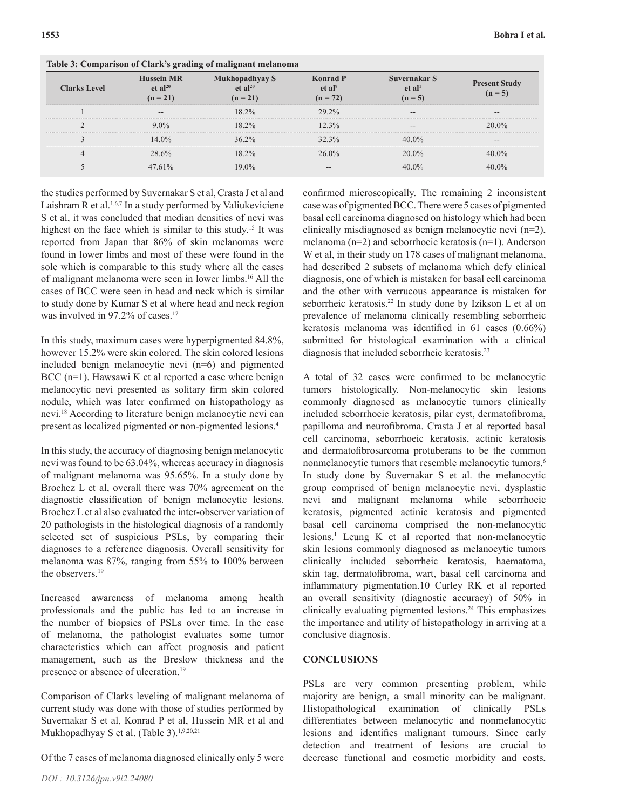|                     | ------ <sub>7</sub>                                    |                                                     |                                                     |                                                 |                                   |  |  |  |  |
|---------------------|--------------------------------------------------------|-----------------------------------------------------|-----------------------------------------------------|-------------------------------------------------|-----------------------------------|--|--|--|--|
| <b>Clarks Level</b> | <b>Hussein MR</b><br>et al <sup>20</sup><br>$(n = 21)$ | <b>Mukhopadhyay S</b><br>et $al^{20}$<br>$(n = 21)$ | <b>Konrad P</b><br>et al <sup>9</sup><br>$(n = 72)$ | Suvernakar S<br>et al <sup>1</sup><br>$(n = 5)$ | <b>Present Study</b><br>$(n = 5)$ |  |  |  |  |
|                     | --                                                     | 18.2%                                               | $29.2\%$                                            | --                                              |                                   |  |  |  |  |
|                     | $9.0\%$                                                | 18.2%                                               | 12.3%                                               |                                                 | $20.0\%$                          |  |  |  |  |
|                     | $14.0\%$                                               | $36.2\%$                                            | 32.3%                                               | $40.0\%$                                        |                                   |  |  |  |  |
|                     | 28.6%                                                  | $18.2\%$                                            | $26.0\%$                                            | $20.0\%$                                        | 40.0%                             |  |  |  |  |
|                     | $47.61\%$                                              | $19.0\%$                                            |                                                     | $40.0\%$                                        | $40.0\%$                          |  |  |  |  |

**Table 3: Comparison of Clark's grading of malignant melanoma**

the studies performed by Suvernakar S et al, Crasta J et al and Laishram R et al.<sup>1,6,7</sup> In a study performed by Valiukeviciene S et al, it was concluded that median densities of nevi was highest on the face which is similar to this study.<sup>15</sup> It was reported from Japan that 86% of skin melanomas were found in lower limbs and most of these were found in the sole which is comparable to this study where all the cases of malignant melanoma were seen in lower limbs.16 All the cases of BCC were seen in head and neck which is similar to study done by Kumar S et al where head and neck region was involved in 97.2% of cases.<sup>17</sup>

In this study, maximum cases were hyperpigmented 84.8%, however 15.2% were skin colored. The skin colored lesions included benign melanocytic nevi (n=6) and pigmented BCC (n=1). Hawsawi K et al reported a case where benign melanocytic nevi presented as solitary firm skin colored nodule, which was later confirmed on histopathology as nevi.18 According to literature benign melanocytic nevi can present as localized pigmented or non-pigmented lesions.4

In this study, the accuracy of diagnosing benign melanocytic nevi was found to be 63.04%, whereas accuracy in diagnosis of malignant melanoma was 95.65%. In a study done by Brochez L et al, overall there was 70% agreement on the diagnostic classification of benign melanocytic lesions. Brochez L et al also evaluated the inter-observer variation of 20 pathologists in the histological diagnosis of a randomly selected set of suspicious PSLs, by comparing their diagnoses to a reference diagnosis. Overall sensitivity for melanoma was 87%, ranging from 55% to 100% between the observers $19$ 

Increased awareness of melanoma among health professionals and the public has led to an increase in the number of biopsies of PSLs over time. In the case of melanoma, the pathologist evaluates some tumor characteristics which can affect prognosis and patient management, such as the Breslow thickness and the presence or absence of ulceration.<sup>19</sup>

Comparison of Clarks leveling of malignant melanoma of current study was done with those of studies performed by Suvernakar S et al, Konrad P et al, Hussein MR et al and Mukhopadhyay S et al. (Table 3).<sup>1,9,20,21</sup>

Of the 7 cases of melanoma diagnosed clinically only 5 were

*DOI : 10.3126/jpn.v9i2.24080*

confirmed microscopically. The remaining 2 inconsistent case was of pigmented BCC. There were 5 cases of pigmented basal cell carcinoma diagnosed on histology which had been clinically misdiagnosed as benign melanocytic nevi (n=2), melanoma (n=2) and seborrhoeic keratosis (n=1). Anderson W et al, in their study on 178 cases of malignant melanoma, had described 2 subsets of melanoma which defy clinical diagnosis, one of which is mistaken for basal cell carcinoma and the other with verrucous appearance is mistaken for seborrheic keratosis.22 In study done by Izikson L et al on prevalence of melanoma clinically resembling seborrheic keratosis melanoma was identified in 61 cases (0.66%) submitted for histological examination with a clinical diagnosis that included seborrheic keratosis.23

A total of 32 cases were confirmed to be melanocytic tumors histologically. Non-melanocytic skin lesions commonly diagnosed as melanocytic tumors clinically included seborrhoeic keratosis, pilar cyst, dermatofibroma, papilloma and neurofibroma. Crasta J et al reported basal cell carcinoma, seborrhoeic keratosis, actinic keratosis and dermatofibrosarcoma protuberans to be the common nonmelanocytic tumors that resemble melanocytic tumors.<sup>6</sup> In study done by Suvernakar S et al. the melanocytic group comprised of benign melanocytic nevi, dysplastic nevi and malignant melanoma while seborrhoeic keratosis, pigmented actinic keratosis and pigmented basal cell carcinoma comprised the non-melanocytic lesions.1 Leung K et al reported that non-melanocytic skin lesions commonly diagnosed as melanocytic tumors clinically included seborrheic keratosis, haematoma, skin tag, dermatofibroma, wart, basal cell carcinoma and inflammatory pigmentation.10 Curley RK et al reported an overall sensitivity (diagnostic accuracy) of 50% in clinically evaluating pigmented lesions.24 This emphasizes the importance and utility of histopathology in arriving at a conclusive diagnosis.

# **CONCLUSIONS**

PSLs are very common presenting problem, while majority are benign, a small minority can be malignant. Histopathological examination of clinically PSLs differentiates between melanocytic and nonmelanocytic lesions and identifies malignant tumours. Since early detection and treatment of lesions are crucial to decrease functional and cosmetic morbidity and costs,